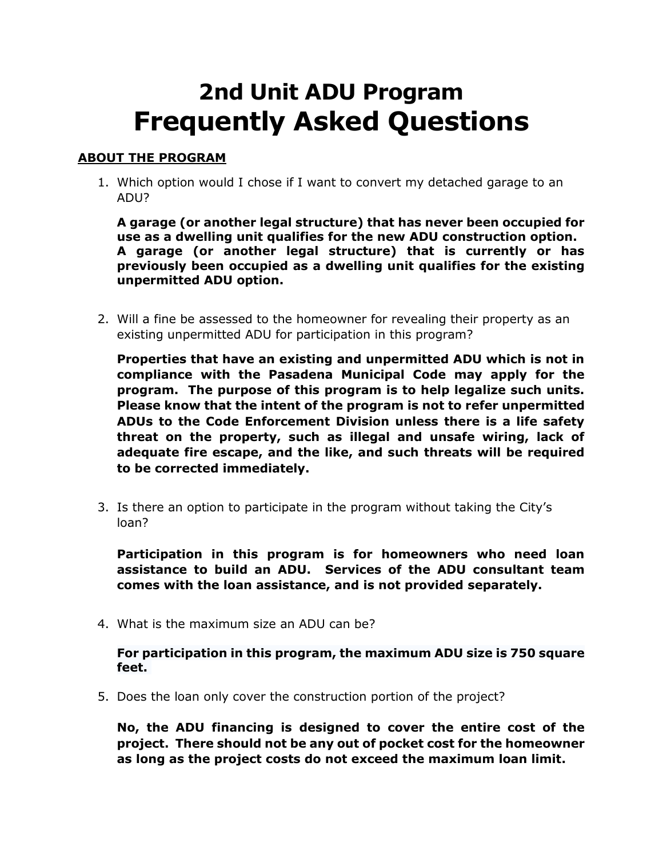# **2nd Unit ADU Program Frequently Asked Questions**

## **ABOUT THE PROGRAM**

1. Which option would I chose if I want to convert my detached garage to an ADU?

**A garage (or another legal structure) that has never been occupied for use as a dwelling unit qualifies for the new ADU construction option. A garage (or another legal structure) that is currently or has previously been occupied as a dwelling unit qualifies for the existing unpermitted ADU option.**

2. Will a fine be assessed to the homeowner for revealing their property as an existing unpermitted ADU for participation in this program?

**Properties that have an existing and unpermitted ADU which is not in compliance with the Pasadena Municipal Code may apply for the program. The purpose of this program is to help legalize such units. Please know that the intent of the program is not to refer unpermitted ADUs to the Code Enforcement Division unless there is a life safety threat on the property, such as illegal and unsafe wiring, lack of adequate fire escape, and the like, and such threats will be required to be corrected immediately.**

3. Is there an option to participate in the program without taking the City's loan?

**Participation in this program is for homeowners who need loan assistance to build an ADU. Services of the ADU consultant team comes with the loan assistance, and is not provided separately.**

4. What is the maximum size an ADU can be?

**For participation in this program, the maximum ADU size is 750 square feet.**

5. Does the loan only cover the construction portion of the project?

**No, the ADU financing is designed to cover the entire cost of the project. There should not be any out of pocket cost for the homeowner as long as the project costs do not exceed the maximum loan limit.**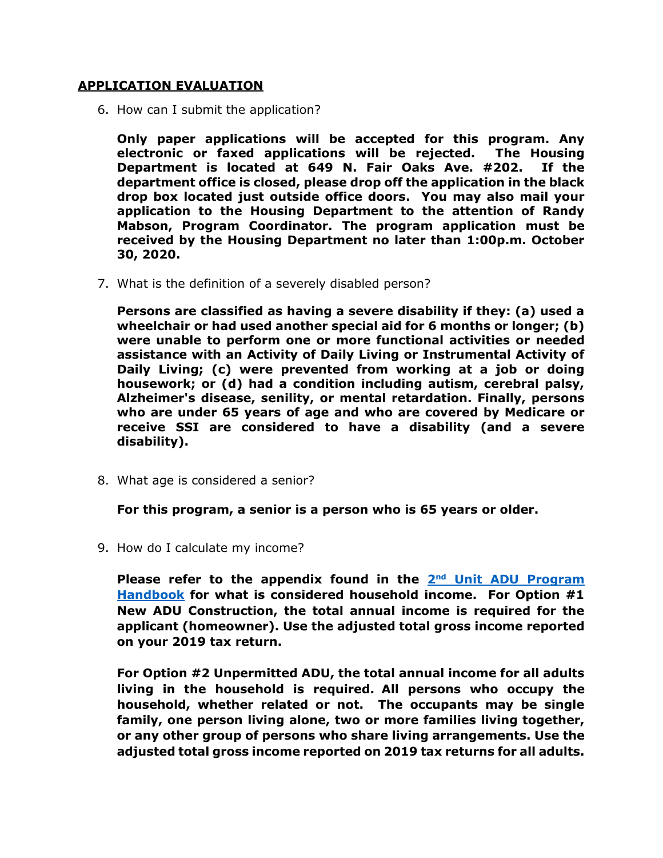### **APPLICATION EVALUATION**

6. How can I submit the application?

**Only paper applications will be accepted for this program. Any electronic or faxed applications will be rejected. The Housing Department is located at 649 N. Fair Oaks Ave. #202. If the department office is closed, please drop off the application in the black drop box located just outside office doors. You may also mail your application to the Housing Department to the attention of Randy Mabson, Program Coordinator. The program application must be received by the Housing Department no later than 1:00p.m. October 30, 2020.** 

7. What is the definition of a severely disabled person?

**Persons are classified as having a severe disability if they: (a) used a wheelchair or had used another special aid for 6 months or longer; (b) were unable to perform one or more functional activities or needed assistance with an Activity of Daily Living or Instrumental Activity of Daily Living; (c) were prevented from working at a job or doing housework; or (d) had a condition including autism, cerebral palsy, Alzheimer's disease, senility, or mental retardation. Finally, persons who are under 65 years of age and who are covered by Medicare or receive SSI are considered to have a disability (and a severe disability).**

8. What age is considered a senior?

**For this program, a senior is a person who is 65 years or older.**

9. How do I calculate my income?

Please refer to the appendix found in the 2<sup>nd</sup> Unit ADU Program **[Handbook](https://www.cityofpasadena.net/housing/wp-content/uploads/sites/23/2nd-Unit-ADU-Program-Handbook.pdf) for what is considered household income. For Option #1 New ADU Construction, the total annual income is required for the applicant (homeowner). Use the adjusted total gross income reported on your 2019 tax return.**

**For Option #2 Unpermitted ADU, the total annual income for all adults living in the household is required. All persons who occupy the household, whether related or not. The occupants may be single family, one person living alone, two or more families living together, or any other group of persons who share living arrangements. Use the adjusted total gross income reported on 2019 tax returns for all adults.**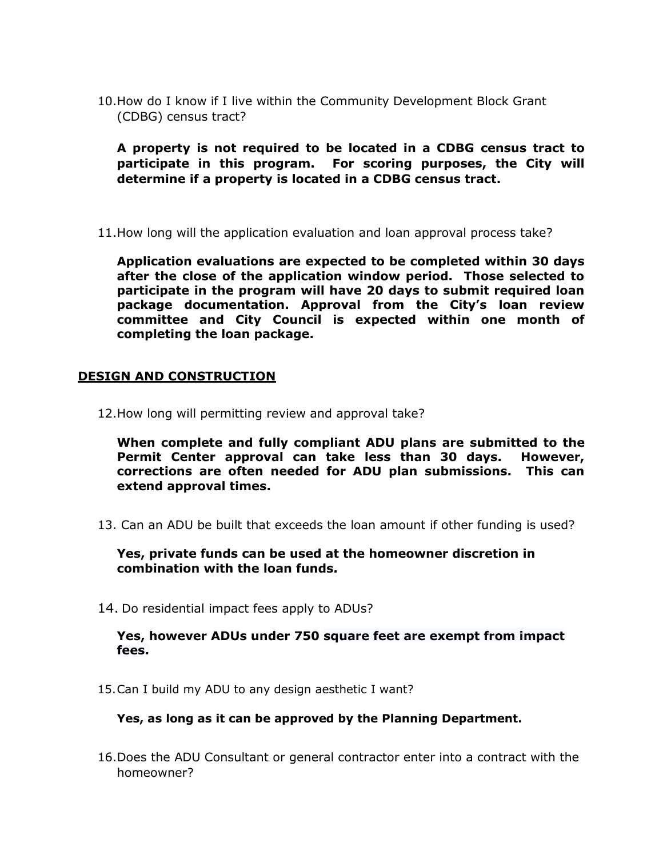10.How do I know if I live within the Community Development Block Grant (CDBG) census tract?

**A property is not required to be located in a CDBG census tract to participate in this program. For scoring purposes, the City will determine if a property is located in a CDBG census tract.**

11.How long will the application evaluation and loan approval process take?

**Application evaluations are expected to be completed within 30 days after the close of the application window period. Those selected to participate in the program will have 20 days to submit required loan package documentation. Approval from the City's loan review committee and City Council is expected within one month of completing the loan package.**

### **DESIGN AND CONSTRUCTION**

12.How long will permitting review and approval take?

**When complete and fully compliant ADU plans are submitted to the Permit Center approval can take less than 30 days. However, corrections are often needed for ADU plan submissions. This can extend approval times.**

13. Can an ADU be built that exceeds the loan amount if other funding is used?

**Yes, private funds can be used at the homeowner discretion in combination with the loan funds.** 

14. Do residential impact fees apply to ADUs?

#### **Yes, however ADUs under 750 square feet are exempt from impact fees.**

15.Can I build my ADU to any design aesthetic I want?

### **Yes, as long as it can be approved by the Planning Department.**

16.Does the ADU Consultant or general contractor enter into a contract with the homeowner?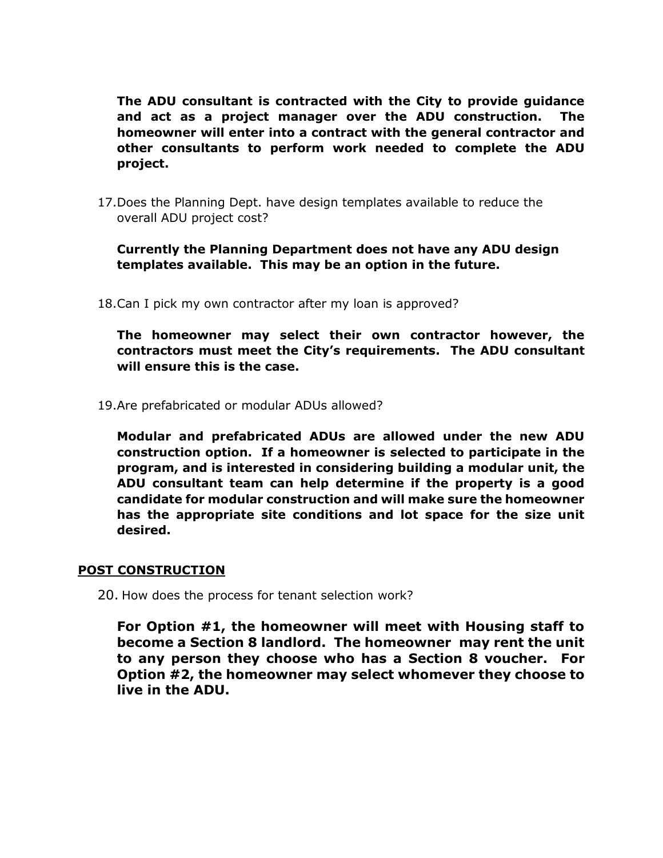**The ADU consultant is contracted with the City to provide guidance and act as a project manager over the ADU construction. The homeowner will enter into a contract with the general contractor and other consultants to perform work needed to complete the ADU project.** 

17.Does the Planning Dept. have design templates available to reduce the overall ADU project cost?

**Currently the Planning Department does not have any ADU design templates available. This may be an option in the future.**

18.Can I pick my own contractor after my loan is approved?

**The homeowner may select their own contractor however, the contractors must meet the City's requirements. The ADU consultant will ensure this is the case.**

19.Are prefabricated or modular ADUs allowed?

**Modular and prefabricated ADUs are allowed under the new ADU construction option. If a homeowner is selected to participate in the program, and is interested in considering building a modular unit, the ADU consultant team can help determine if the property is a good candidate for modular construction and will make sure the homeowner has the appropriate site conditions and lot space for the size unit desired.**

## **POST CONSTRUCTION**

20. How does the process for tenant selection work?

**For Option #1, the homeowner will meet with Housing staff to become a Section 8 landlord. The homeowner may rent the unit to any person they choose who has a Section 8 voucher. For Option #2, the homeowner may select whomever they choose to live in the ADU.**